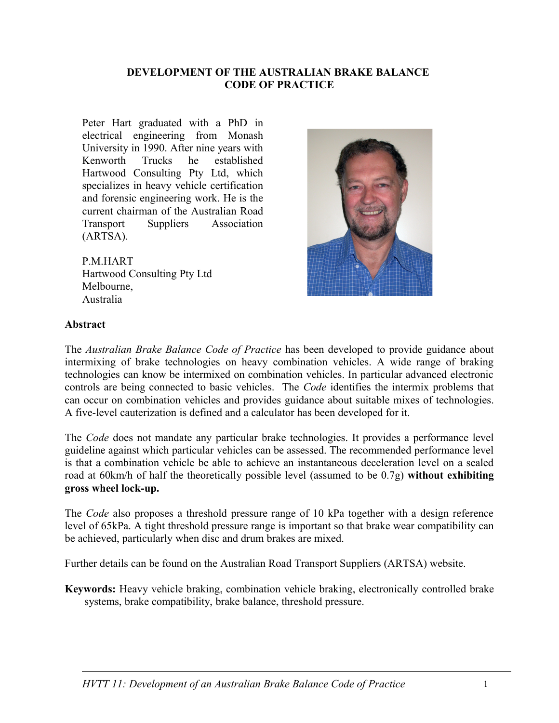#### **DEVELOPMENT OF THE AUSTRALIAN BRAKE BALANCE CODE OF PRACTICE**

Peter Hart graduated with a PhD in electrical engineering from Monash University in 1990. After nine years with Kenworth Trucks he established Hartwood Consulting Pty Ltd, which specializes in heavy vehicle certification and forensic engineering work. He is the current chairman of the Australian Road Transport Suppliers Association (ARTSA).

P.M.HART Hartwood Consulting Pty Ltd Melbourne, Australia



#### **Abstract**

The *Australian Brake Balance Code of Practice* has been developed to provide guidance about intermixing of brake technologies on heavy combination vehicles. A wide range of braking technologies can know be intermixed on combination vehicles. In particular advanced electronic controls are being connected to basic vehicles. The *Code* identifies the intermix problems that can occur on combination vehicles and provides guidance about suitable mixes of technologies. A five-level cauterization is defined and a calculator has been developed for it.

The *Code* does not mandate any particular brake technologies. It provides a performance level guideline against which particular vehicles can be assessed. The recommended performance level is that a combination vehicle be able to achieve an instantaneous deceleration level on a sealed road at 60km/h of half the theoretically possible level (assumed to be 0.7g) **without exhibiting gross wheel lock-up.**

The *Code* also proposes a threshold pressure range of 10 kPa together with a design reference level of 65kPa. A tight threshold pressure range is important so that brake wear compatibility can be achieved, particularly when disc and drum brakes are mixed.

Further details can be found on the Australian Road Transport Suppliers (ARTSA) website.

**Keywords:** Heavy vehicle braking, combination vehicle braking, electronically controlled brake systems, brake compatibility, brake balance, threshold pressure.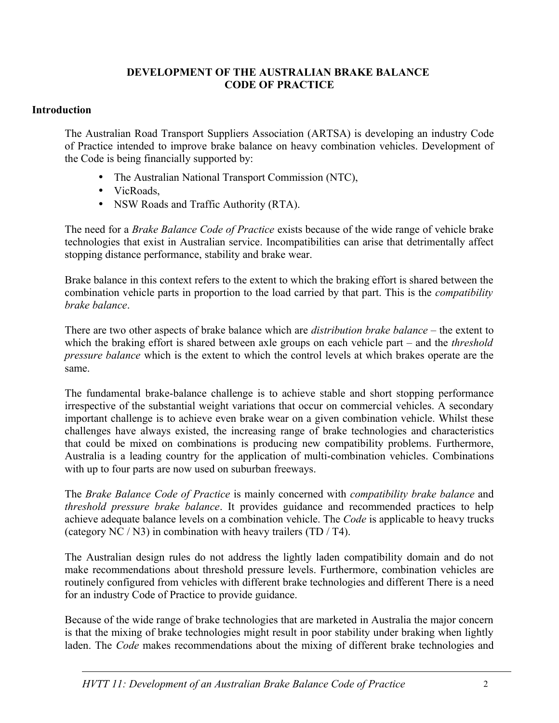#### **DEVELOPMENT OF THE AUSTRALIAN BRAKE BALANCE CODE OF PRACTICE**

### **Introduction**

The Australian Road Transport Suppliers Association (ARTSA) is developing an industry Code of Practice intended to improve brake balance on heavy combination vehicles. Development of the Code is being financially supported by:

- The Australian National Transport Commission (NTC),
- VicRoads,
- NSW Roads and Traffic Authority (RTA).

The need for a *Brake Balance Code of Practice* exists because of the wide range of vehicle brake technologies that exist in Australian service. Incompatibilities can arise that detrimentally affect stopping distance performance, stability and brake wear.

Brake balance in this context refers to the extent to which the braking effort is shared between the combination vehicle parts in proportion to the load carried by that part. This is the *compatibility brake balance*.

There are two other aspects of brake balance which are *distribution brake balance* – the extent to which the braking effort is shared between axle groups on each vehicle part – and the *threshold pressure balance* which is the extent to which the control levels at which brakes operate are the same.

The fundamental brake-balance challenge is to achieve stable and short stopping performance irrespective of the substantial weight variations that occur on commercial vehicles. A secondary important challenge is to achieve even brake wear on a given combination vehicle. Whilst these challenges have always existed, the increasing range of brake technologies and characteristics that could be mixed on combinations is producing new compatibility problems. Furthermore, Australia is a leading country for the application of multi-combination vehicles. Combinations with up to four parts are now used on suburban freeways.

The *Brake Balance Code of Practice* is mainly concerned with *compatibility brake balance* and *threshold pressure brake balance*. It provides guidance and recommended practices to help achieve adequate balance levels on a combination vehicle. The *Code* is applicable to heavy trucks (category NC / N3) in combination with heavy trailers (TD / T4).

The Australian design rules do not address the lightly laden compatibility domain and do not make recommendations about threshold pressure levels. Furthermore, combination vehicles are routinely configured from vehicles with different brake technologies and different There is a need for an industry Code of Practice to provide guidance.

Because of the wide range of brake technologies that are marketed in Australia the major concern is that the mixing of brake technologies might result in poor stability under braking when lightly laden. The *Code* makes recommendations about the mixing of different brake technologies and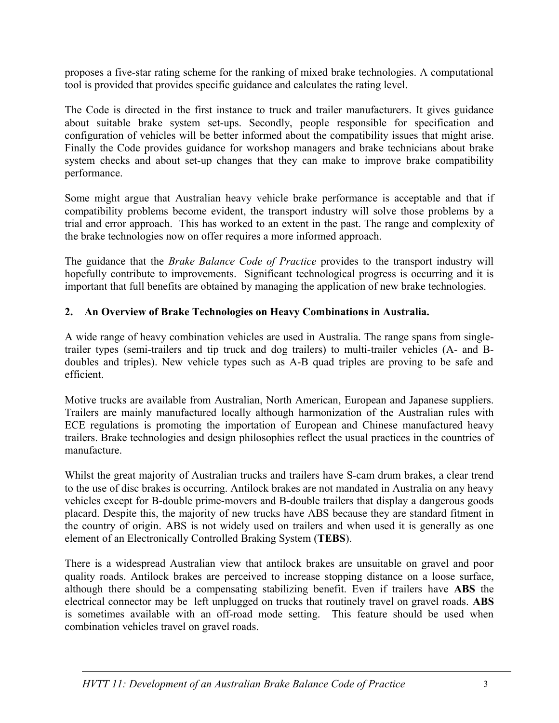proposes a five-star rating scheme for the ranking of mixed brake technologies. A computational tool is provided that provides specific guidance and calculates the rating level.

The Code is directed in the first instance to truck and trailer manufacturers. It gives guidance about suitable brake system set-ups. Secondly, people responsible for specification and configuration of vehicles will be better informed about the compatibility issues that might arise. Finally the Code provides guidance for workshop managers and brake technicians about brake system checks and about set-up changes that they can make to improve brake compatibility performance.

Some might argue that Australian heavy vehicle brake performance is acceptable and that if compatibility problems become evident, the transport industry will solve those problems by a trial and error approach. This has worked to an extent in the past. The range and complexity of the brake technologies now on offer requires a more informed approach.

The guidance that the *Brake Balance Code of Practice* provides to the transport industry will hopefully contribute to improvements. Significant technological progress is occurring and it is important that full benefits are obtained by managing the application of new brake technologies.

## **2. An Overview of Brake Technologies on Heavy Combinations in Australia.**

A wide range of heavy combination vehicles are used in Australia. The range spans from singletrailer types (semi-trailers and tip truck and dog trailers) to multi-trailer vehicles (A- and Bdoubles and triples). New vehicle types such as A-B quad triples are proving to be safe and efficient.

Motive trucks are available from Australian, North American, European and Japanese suppliers. Trailers are mainly manufactured locally although harmonization of the Australian rules with ECE regulations is promoting the importation of European and Chinese manufactured heavy trailers. Brake technologies and design philosophies reflect the usual practices in the countries of manufacture.

Whilst the great majority of Australian trucks and trailers have S-cam drum brakes, a clear trend to the use of disc brakes is occurring. Antilock brakes are not mandated in Australia on any heavy vehicles except for B-double prime-movers and B-double trailers that display a dangerous goods placard. Despite this, the majority of new trucks have ABS because they are standard fitment in the country of origin. ABS is not widely used on trailers and when used it is generally as one element of an Electronically Controlled Braking System (**TEBS**).

There is a widespread Australian view that antilock brakes are unsuitable on gravel and poor quality roads. Antilock brakes are perceived to increase stopping distance on a loose surface, although there should be a compensating stabilizing benefit. Even if trailers have **ABS** the electrical connector may be left unplugged on trucks that routinely travel on gravel roads. **ABS** is sometimes available with an off-road mode setting. This feature should be used when combination vehicles travel on gravel roads.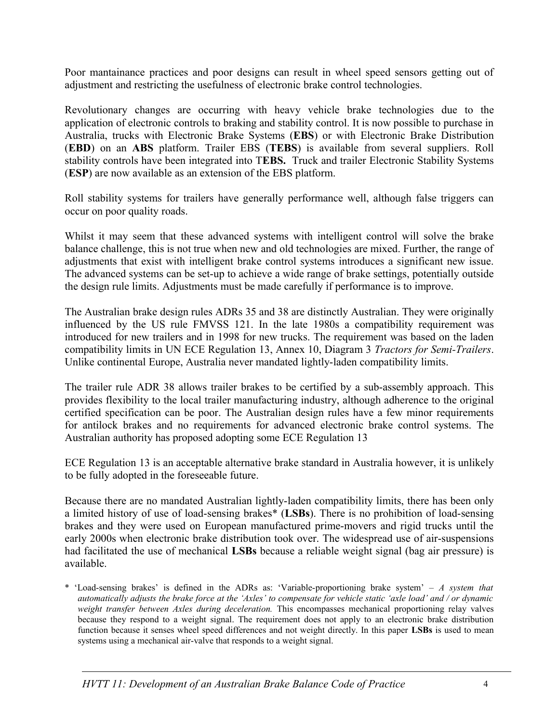Poor mantainance practices and poor designs can result in wheel speed sensors getting out of adjustment and restricting the usefulness of electronic brake control technologies.

Revolutionary changes are occurring with heavy vehicle brake technologies due to the application of electronic controls to braking and stability control. It is now possible to purchase in Australia, trucks with Electronic Brake Systems (**EBS**) or with Electronic Brake Distribution (**EBD**) on an **ABS** platform. Trailer EBS (**TEBS**) is available from several suppliers. Roll stability controls have been integrated into T**EBS.** Truck and trailer Electronic Stability Systems (**ESP**) are now available as an extension of the EBS platform.

Roll stability systems for trailers have generally performance well, although false triggers can occur on poor quality roads.

Whilst it may seem that these advanced systems with intelligent control will solve the brake balance challenge, this is not true when new and old technologies are mixed. Further, the range of adjustments that exist with intelligent brake control systems introduces a significant new issue. The advanced systems can be set-up to achieve a wide range of brake settings, potentially outside the design rule limits. Adjustments must be made carefully if performance is to improve.

The Australian brake design rules ADRs 35 and 38 are distinctly Australian. They were originally influenced by the US rule FMVSS 121. In the late 1980s a compatibility requirement was introduced for new trailers and in 1998 for new trucks. The requirement was based on the laden compatibility limits in UN ECE Regulation 13, Annex 10, Diagram 3 *Tractors for Semi-Trailers*. Unlike continental Europe, Australia never mandated lightly-laden compatibility limits.

The trailer rule ADR 38 allows trailer brakes to be certified by a sub-assembly approach. This provides flexibility to the local trailer manufacturing industry, although adherence to the original certified specification can be poor. The Australian design rules have a few minor requirements for antilock brakes and no requirements for advanced electronic brake control systems. The Australian authority has proposed adopting some ECE Regulation 13

ECE Regulation 13 is an acceptable alternative brake standard in Australia however, it is unlikely to be fully adopted in the foreseeable future.

Because there are no mandated Australian lightly-laden compatibility limits, there has been only a limited history of use of load-sensing brakes\* (**LSBs**). There is no prohibition of load-sensing brakes and they were used on European manufactured prime-movers and rigid trucks until the early 2000s when electronic brake distribution took over. The widespread use of air-suspensions had facilitated the use of mechanical **LSBs** because a reliable weight signal (bag air pressure) is available.

<sup>\* &#</sup>x27;Load-sensing brakes' is defined in the ADRs as: 'Variable-proportioning brake system' – *A system that automatically adjusts the brake force at the 'Axles' to compensate for vehicle static 'axle load' and / or dynamic weight transfer between Axles during deceleration.* This encompasses mechanical proportioning relay valves because they respond to a weight signal. The requirement does not apply to an electronic brake distribution function because it senses wheel speed differences and not weight directly. In this paper **LSBs** is used to mean systems using a mechanical air-valve that responds to a weight signal.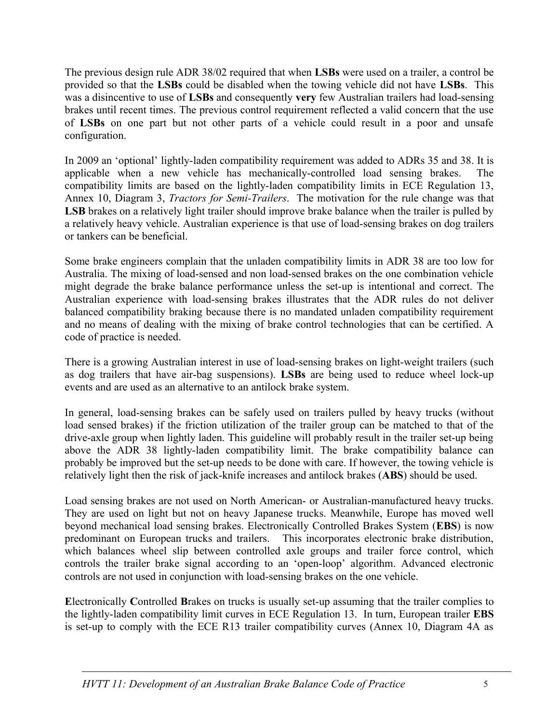The previous design rule ADR 38/02 required that when **LSBs** were used on a trailer, a control be provided so that the **LSBs** could be disabled when the towing vehicle did not have **LSBs**. This was a disincentive to use of **LSBs** and consequently **very** few Australian trailers had load-sensing brakes until recent times. The previous control requirement reflected a valid concern that the use of **LSBs** on one part but not other parts of a vehicle could result in a poor and unsafe configuration.

In 2009 an 'optional' lightly-laden compatibility requirement was added to ADRs 35 and 38. It is applicable when a new vehicle has mechanically-controlled load sensing brakes. The compatibility limits are based on the lightly-laden compatibility limits in ECE Regulation 13, Annex 10, Diagram 3, *Tractors for Semi-Trailers*. The motivation for the rule change was that **LSB** brakes on a relatively light trailer should improve brake balance when the trailer is pulled by a relatively heavy vehicle. Australian experience is that use of load-sensing brakes on dog trailers or tankers can be beneficial.

Some brake engineers complain that the unladen compatibility limits in ADR 38 are too low for Australia. The mixing of load-sensed and non load-sensed brakes on the one combination vehicle might degrade the brake balance performance unless the set-up is intentional and correct. The Australian experience with load-sensing brakes illustrates that the ADR rules do not deliver balanced compatibility braking because there is no mandated unladen compatibility requirement and no means of dealing with the mixing of brake control technologies that can be certified. A code of practice is needed.

There is a growing Australian interest in use of load-sensing brakes on light-weight trailers (such as dog trailers that have air-bag suspensions). **LSBs** are being used to reduce wheel lock-up events and are used as an alternative to an antilock brake system.

In general, load-sensing brakes can be safely used on trailers pulled by heavy trucks (without load sensed brakes) if the friction utilization of the trailer group can be matched to that of the drive-axle group when lightly laden. This guideline will probably result in the trailer set-up being above the ADR 38 lightly-laden compatibility limit. The brake compatibility balance can probably be improved but the set-up needs to be done with care. If however, the towing vehicle is relatively light then the risk of jack-knife increases and antilock brakes (**ABS**) should be used.

Load sensing brakes are not used on North American- or Australian-manufactured heavy trucks. They are used on light but not on heavy Japanese trucks. Meanwhile, Europe has moved well beyond mechanical load sensing brakes. Electronically Controlled Brakes System (**EBS**) is now predominant on European trucks and trailers. This incorporates electronic brake distribution, which balances wheel slip between controlled axle groups and trailer force control, which controls the trailer brake signal according to an 'open-loop' algorithm. Advanced electronic controls are not used in conjunction with load-sensing brakes on the one vehicle.

**E**lectronically **C**ontrolled **B**rakes on trucks is usually set-up assuming that the trailer complies to the lightly-laden compatibility limit curves in ECE Regulation 13. In turn, European trailer **EBS** is set-up to comply with the ECE R13 trailer compatibility curves (Annex 10, Diagram 4A as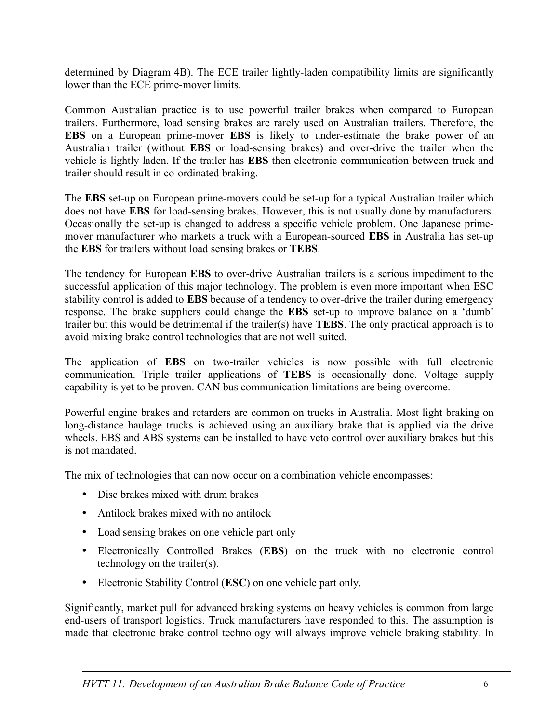determined by Diagram 4B). The ECE trailer lightly-laden compatibility limits are significantly lower than the ECE prime-mover limits.

Common Australian practice is to use powerful trailer brakes when compared to European trailers. Furthermore, load sensing brakes are rarely used on Australian trailers. Therefore, the **EBS** on a European prime-mover **EBS** is likely to under-estimate the brake power of an Australian trailer (without **EBS** or load-sensing brakes) and over-drive the trailer when the vehicle is lightly laden. If the trailer has **EBS** then electronic communication between truck and trailer should result in co-ordinated braking.

The **EBS** set-up on European prime-movers could be set-up for a typical Australian trailer which does not have **EBS** for load-sensing brakes. However, this is not usually done by manufacturers. Occasionally the set-up is changed to address a specific vehicle problem. One Japanese primemover manufacturer who markets a truck with a European-sourced **EBS** in Australia has set-up the **EBS** for trailers without load sensing brakes or **TEBS**.

The tendency for European **EBS** to over-drive Australian trailers is a serious impediment to the successful application of this major technology. The problem is even more important when ESC stability control is added to **EBS** because of a tendency to over-drive the trailer during emergency response. The brake suppliers could change the **EBS** set-up to improve balance on a 'dumb' trailer but this would be detrimental if the trailer(s) have **TEBS**. The only practical approach is to avoid mixing brake control technologies that are not well suited.

The application of **EBS** on two-trailer vehicles is now possible with full electronic communication. Triple trailer applications of **TEBS** is occasionally done. Voltage supply capability is yet to be proven. CAN bus communication limitations are being overcome.

Powerful engine brakes and retarders are common on trucks in Australia. Most light braking on long-distance haulage trucks is achieved using an auxiliary brake that is applied via the drive wheels. EBS and ABS systems can be installed to have veto control over auxiliary brakes but this is not mandated.

The mix of technologies that can now occur on a combination vehicle encompasses:

- Disc brakes mixed with drum brakes
- Antilock brakes mixed with no antilock
- Load sensing brakes on one vehicle part only
- Electronically Controlled Brakes (**EBS**) on the truck with no electronic control technology on the trailer(s).
- Electronic Stability Control (**ESC**) on one vehicle part only.

Significantly, market pull for advanced braking systems on heavy vehicles is common from large end-users of transport logistics. Truck manufacturers have responded to this. The assumption is made that electronic brake control technology will always improve vehicle braking stability. In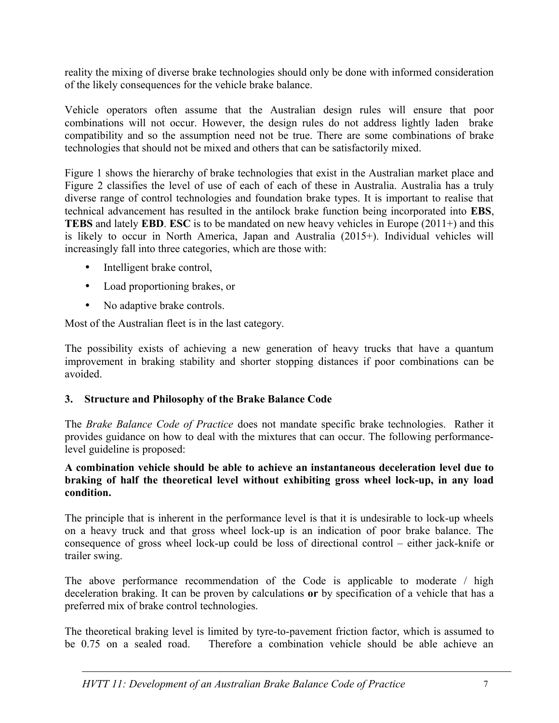reality the mixing of diverse brake technologies should only be done with informed consideration of the likely consequences for the vehicle brake balance.

Vehicle operators often assume that the Australian design rules will ensure that poor combinations will not occur. However, the design rules do not address lightly laden brake compatibility and so the assumption need not be true. There are some combinations of brake technologies that should not be mixed and others that can be satisfactorily mixed.

Figure 1 shows the hierarchy of brake technologies that exist in the Australian market place and Figure 2 classifies the level of use of each of each of these in Australia. Australia has a truly diverse range of control technologies and foundation brake types. It is important to realise that technical advancement has resulted in the antilock brake function being incorporated into **EBS**, **TEBS** and lately **EBD**. **ESC** is to be mandated on new heavy vehicles in Europe (2011+) and this is likely to occur in North America, Japan and Australia (2015+). Individual vehicles will increasingly fall into three categories, which are those with:

- Intelligent brake control,
- Load proportioning brakes, or
- No adaptive brake controls.

Most of the Australian fleet is in the last category.

The possibility exists of achieving a new generation of heavy trucks that have a quantum improvement in braking stability and shorter stopping distances if poor combinations can be avoided.

## **3. Structure and Philosophy of the Brake Balance Code**

The *Brake Balance Code of Practice* does not mandate specific brake technologies. Rather it provides guidance on how to deal with the mixtures that can occur. The following performancelevel guideline is proposed:

### **A combination vehicle should be able to achieve an instantaneous deceleration level due to braking of half the theoretical level without exhibiting gross wheel lock-up, in any load condition.**

The principle that is inherent in the performance level is that it is undesirable to lock-up wheels on a heavy truck and that gross wheel lock-up is an indication of poor brake balance. The consequence of gross wheel lock-up could be loss of directional control – either jack-knife or trailer swing.

The above performance recommendation of the Code is applicable to moderate / high deceleration braking. It can be proven by calculations **or** by specification of a vehicle that has a preferred mix of brake control technologies.

The theoretical braking level is limited by tyre-to-pavement friction factor, which is assumed to be 0.75 on a sealed road. Therefore a combination vehicle should be able achieve an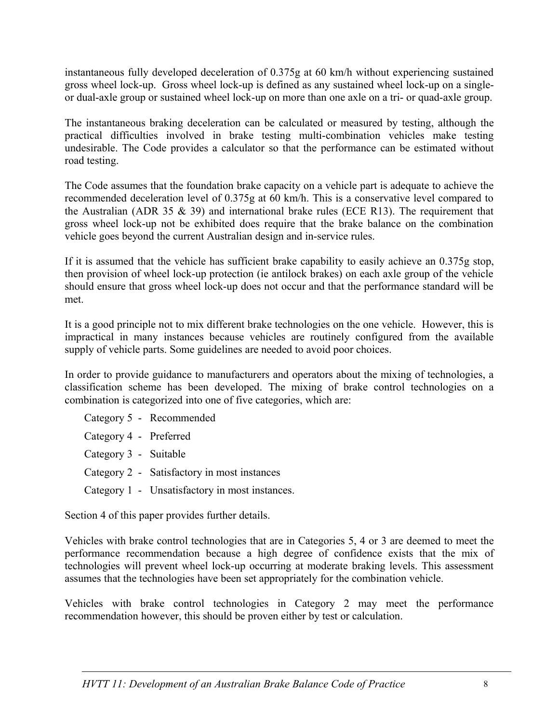instantaneous fully developed deceleration of 0.375g at 60 km/h without experiencing sustained gross wheel lock-up. Gross wheel lock-up is defined as any sustained wheel lock-up on a singleor dual-axle group or sustained wheel lock-up on more than one axle on a tri- or quad-axle group.

The instantaneous braking deceleration can be calculated or measured by testing, although the practical difficulties involved in brake testing multi-combination vehicles make testing undesirable. The Code provides a calculator so that the performance can be estimated without road testing.

The Code assumes that the foundation brake capacity on a vehicle part is adequate to achieve the recommended deceleration level of 0.375g at 60 km/h. This is a conservative level compared to the Australian (ADR 35  $\&$  39) and international brake rules (ECE R13). The requirement that gross wheel lock-up not be exhibited does require that the brake balance on the combination vehicle goes beyond the current Australian design and in-service rules.

If it is assumed that the vehicle has sufficient brake capability to easily achieve an 0.375g stop, then provision of wheel lock-up protection (ie antilock brakes) on each axle group of the vehicle should ensure that gross wheel lock-up does not occur and that the performance standard will be met.

It is a good principle not to mix different brake technologies on the one vehicle. However, this is impractical in many instances because vehicles are routinely configured from the available supply of vehicle parts. Some guidelines are needed to avoid poor choices.

In order to provide guidance to manufacturers and operators about the mixing of technologies, a classification scheme has been developed. The mixing of brake control technologies on a combination is categorized into one of five categories, which are:

|                        | Category 5 - Recommended                       |
|------------------------|------------------------------------------------|
| Category 4 - Preferred |                                                |
| Category 3 - Suitable  |                                                |
|                        | Category 2 - Satisfactory in most instances    |
|                        | Category 1 - Unsatisfactory in most instances. |

Section 4 of this paper provides further details.

Vehicles with brake control technologies that are in Categories 5, 4 or 3 are deemed to meet the performance recommendation because a high degree of confidence exists that the mix of technologies will prevent wheel lock-up occurring at moderate braking levels. This assessment assumes that the technologies have been set appropriately for the combination vehicle.

Vehicles with brake control technologies in Category 2 may meet the performance recommendation however, this should be proven either by test or calculation.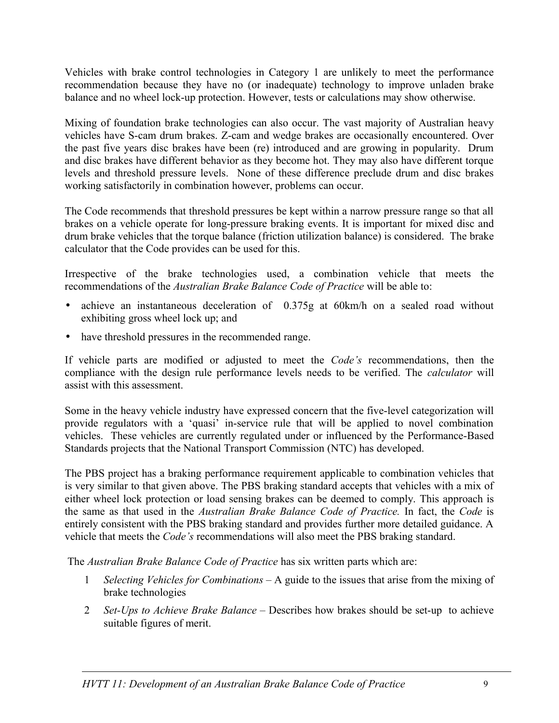Vehicles with brake control technologies in Category 1 are unlikely to meet the performance recommendation because they have no (or inadequate) technology to improve unladen brake balance and no wheel lock-up protection. However, tests or calculations may show otherwise.

Mixing of foundation brake technologies can also occur. The vast majority of Australian heavy vehicles have S-cam drum brakes. Z-cam and wedge brakes are occasionally encountered. Over the past five years disc brakes have been (re) introduced and are growing in popularity. Drum and disc brakes have different behavior as they become hot. They may also have different torque levels and threshold pressure levels. None of these difference preclude drum and disc brakes working satisfactorily in combination however, problems can occur.

The Code recommends that threshold pressures be kept within a narrow pressure range so that all brakes on a vehicle operate for long-pressure braking events. It is important for mixed disc and drum brake vehicles that the torque balance (friction utilization balance) is considered. The brake calculator that the Code provides can be used for this.

Irrespective of the brake technologies used, a combination vehicle that meets the recommendations of the *Australian Brake Balance Code of Practice* will be able to:

- achieve an instantaneous deceleration of 0.375g at 60km/h on a sealed road without exhibiting gross wheel lock up; and
- have threshold pressures in the recommended range.

If vehicle parts are modified or adjusted to meet the *Code's* recommendations, then the compliance with the design rule performance levels needs to be verified. The *calculator* will assist with this assessment.

Some in the heavy vehicle industry have expressed concern that the five-level categorization will provide regulators with a 'quasi' in-service rule that will be applied to novel combination vehicles. These vehicles are currently regulated under or influenced by the Performance-Based Standards projects that the National Transport Commission (NTC) has developed.

The PBS project has a braking performance requirement applicable to combination vehicles that is very similar to that given above. The PBS braking standard accepts that vehicles with a mix of either wheel lock protection or load sensing brakes can be deemed to comply. This approach is the same as that used in the *Australian Brake Balance Code of Practice.* In fact, the *Code* is entirely consistent with the PBS braking standard and provides further more detailed guidance. A vehicle that meets the *Code's* recommendations will also meet the PBS braking standard.

The *Australian Brake Balance Code of Practice* has six written parts which are:

- 1 *Selecting Vehicles for Combinations* A guide to the issues that arise from the mixing of brake technologies
- 2 *Set-Ups to Achieve Brake Balance* Describes how brakes should be set-up to achieve suitable figures of merit.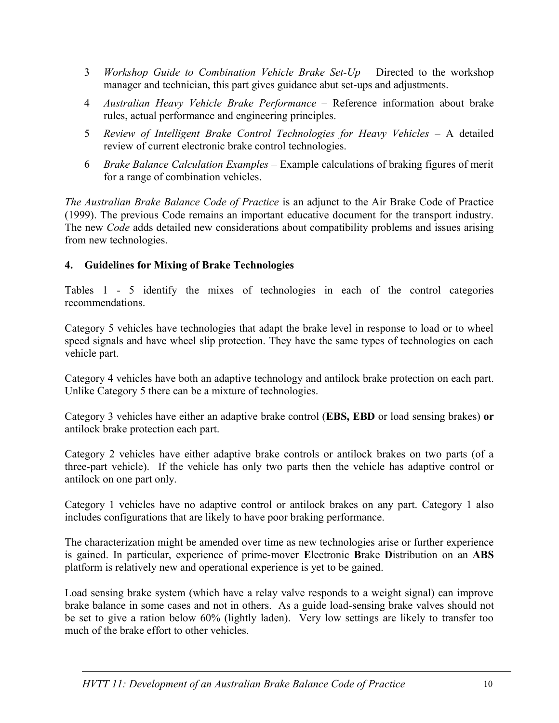- 3 *Workshop Guide to Combination Vehicle Brake Set-Up* Directed to the workshop manager and technician, this part gives guidance abut set-ups and adjustments.
- 4 *Australian Heavy Vehicle Brake Performance* Reference information about brake rules, actual performance and engineering principles.
- 5 *Review of Intelligent Brake Control Technologies for Heavy Vehicles* A detailed review of current electronic brake control technologies.
- 6 *Brake Balance Calculation Examples* Example calculations of braking figures of merit for a range of combination vehicles.

*The Australian Brake Balance Code of Practice* is an adjunct to the Air Brake Code of Practice (1999). The previous Code remains an important educative document for the transport industry. The new *Code* adds detailed new considerations about compatibility problems and issues arising from new technologies.

## **4. Guidelines for Mixing of Brake Technologies**

Tables 1 - 5 identify the mixes of technologies in each of the control categories recommendations.

Category 5 vehicles have technologies that adapt the brake level in response to load or to wheel speed signals and have wheel slip protection. They have the same types of technologies on each vehicle part.

Category 4 vehicles have both an adaptive technology and antilock brake protection on each part. Unlike Category 5 there can be a mixture of technologies.

Category 3 vehicles have either an adaptive brake control (**EBS, EBD** or load sensing brakes) **or** antilock brake protection each part.

Category 2 vehicles have either adaptive brake controls or antilock brakes on two parts (of a three-part vehicle). If the vehicle has only two parts then the vehicle has adaptive control or antilock on one part only.

Category 1 vehicles have no adaptive control or antilock brakes on any part. Category 1 also includes configurations that are likely to have poor braking performance.

The characterization might be amended over time as new technologies arise or further experience is gained. In particular, experience of prime-mover **E**lectronic **B**rake **D**istribution on an **ABS** platform is relatively new and operational experience is yet to be gained.

Load sensing brake system (which have a relay valve responds to a weight signal) can improve brake balance in some cases and not in others. As a guide load-sensing brake valves should not be set to give a ration below 60% (lightly laden). Very low settings are likely to transfer too much of the brake effort to other vehicles.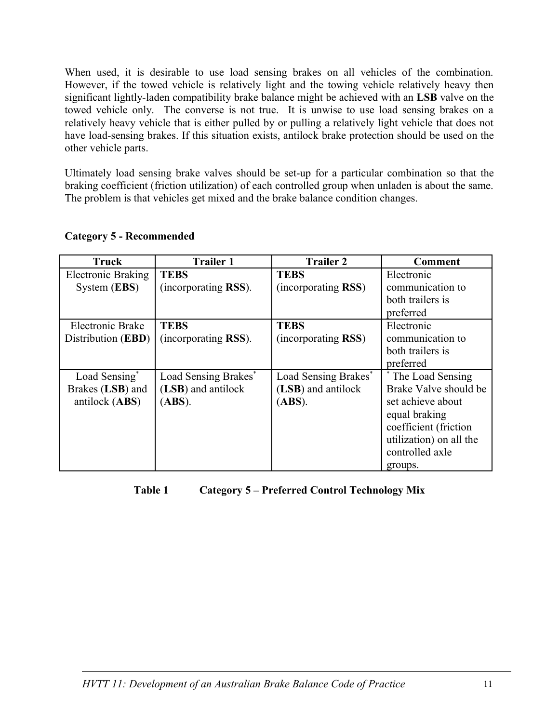When used, it is desirable to use load sensing brakes on all vehicles of the combination. However, if the towed vehicle is relatively light and the towing vehicle relatively heavy then significant lightly-laden compatibility brake balance might be achieved with an **LSB** valve on the towed vehicle only. The converse is not true. It is unwise to use load sensing brakes on a relatively heavy vehicle that is either pulled by or pulling a relatively light vehicle that does not have load-sensing brakes. If this situation exists, antilock brake protection should be used on the other vehicle parts.

Ultimately load sensing brake valves should be set-up for a particular combination so that the braking coefficient (friction utilization) of each controlled group when unladen is about the same. The problem is that vehicles get mixed and the brake balance condition changes.

| <b>Truck</b>              | <b>Trailer 1</b>     | <b>Trailer 2</b>     | Comment                 |
|---------------------------|----------------------|----------------------|-------------------------|
| <b>Electronic Braking</b> | <b>TEBS</b>          | <b>TEBS</b>          | Electronic              |
| System (EBS)              | (incorporating RSS). | (incorporating RSS)  | communication to        |
|                           |                      |                      | both trailers is        |
|                           |                      |                      | preferred               |
| Electronic Brake          | <b>TEBS</b>          | <b>TEBS</b>          | Electronic              |
| Distribution (EBD)        | (incorporating RSS). | (incorporating RSS)  | communication to        |
|                           |                      |                      | both trailers is        |
|                           |                      |                      | preferred               |
| Load Sensing*             | Load Sensing Brakes* | Load Sensing Brakes* | * The Load Sensing      |
| Brakes (LSB) and          | (LSB) and antilock   | (LSB) and antilock   | Brake Valve should be   |
| antilock (ABS)            | (ABS).               | (ABS).               | set achieve about       |
|                           |                      |                      | equal braking           |
|                           |                      |                      | coefficient (friction   |
|                           |                      |                      | utilization) on all the |
|                           |                      |                      | controlled axle         |
|                           |                      |                      | groups.                 |

### **Category 5 - Recommended**

**Table 1 Category 5 – Preferred Control Technology Mix**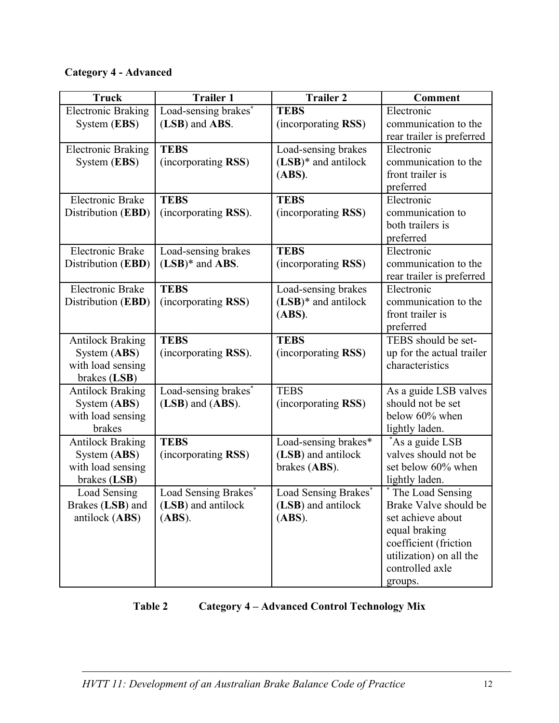# **Category 4 - Advanced**

| <b>Truck</b>              | <b>Trailer 1</b>     | <b>Trailer 2</b>       | <b>Comment</b>            |
|---------------------------|----------------------|------------------------|---------------------------|
| <b>Electronic Braking</b> | Load-sensing brakes* | <b>TEBS</b>            | Electronic                |
| System (EBS)              | (LSB) and ABS.       | (incorporating RSS)    | communication to the      |
|                           |                      |                        | rear trailer is preferred |
| <b>Electronic Braking</b> | <b>TEBS</b>          | Load-sensing brakes    | Electronic                |
| System (EBS)              | (incorporating RSS)  | $(LSB)*$ and antilock  | communication to the      |
|                           |                      | (ABS).                 | front trailer is          |
|                           |                      |                        | preferred                 |
| <b>Electronic Brake</b>   | <b>TEBS</b>          | <b>TEBS</b>            | Electronic                |
| Distribution (EBD)        | (incorporating RSS). | (incorporating RSS)    | communication to          |
|                           |                      |                        | both trailers is          |
|                           |                      |                        | preferred                 |
| <b>Electronic Brake</b>   | Load-sensing brakes  | <b>TEBS</b>            | Electronic                |
| Distribution (EBD)        | $(LSB)*$ and ABS.    | (incorporating RSS)    | communication to the      |
|                           |                      |                        | rear trailer is preferred |
| <b>Electronic Brake</b>   | <b>TEBS</b>          | Load-sensing brakes    | Electronic                |
| Distribution (EBD)        | (incorporating RSS)  | $(LSB)^*$ and antilock | communication to the      |
|                           |                      | (ABS).                 | front trailer is          |
|                           |                      |                        | preferred                 |
| <b>Antilock Braking</b>   | <b>TEBS</b>          | <b>TEBS</b>            | TEBS should be set-       |
| System (ABS)              | (incorporating RSS). | (incorporating RSS)    | up for the actual trailer |
| with load sensing         |                      |                        | characteristics           |
| brakes (LSB)              |                      |                        |                           |
| <b>Antilock Braking</b>   | Load-sensing brakes* | <b>TEBS</b>            | As a guide LSB valves     |
| System (ABS)              | (LSB) and (ABS).     | (incorporating RSS)    | should not be set         |
| with load sensing         |                      |                        | below 60% when            |
| brakes                    |                      |                        | lightly laden.            |
| <b>Antilock Braking</b>   | <b>TEBS</b>          | Load-sensing brakes*   | *As a guide LSB           |
| System (ABS)              | (incorporating RSS)  | (LSB) and antilock     | valves should not be      |
| with load sensing         |                      | brakes (ABS).          | set below 60% when        |
| brakes (LSB)              |                      |                        | lightly laden.            |
| Load Sensing              | Load Sensing Brakes* | Load Sensing Brakes*   | * The Load Sensing        |
| Brakes (LSB) and          | (LSB) and antilock   | (LSB) and antilock     | Brake Valve should be     |
| antilock (ABS)            | (ABS).               | (ABS).                 | set achieve about         |
|                           |                      |                        | equal braking             |
|                           |                      |                        | coefficient (friction     |
|                           |                      |                        | utilization) on all the   |
|                           |                      |                        | controlled axle           |
|                           |                      |                        | groups.                   |

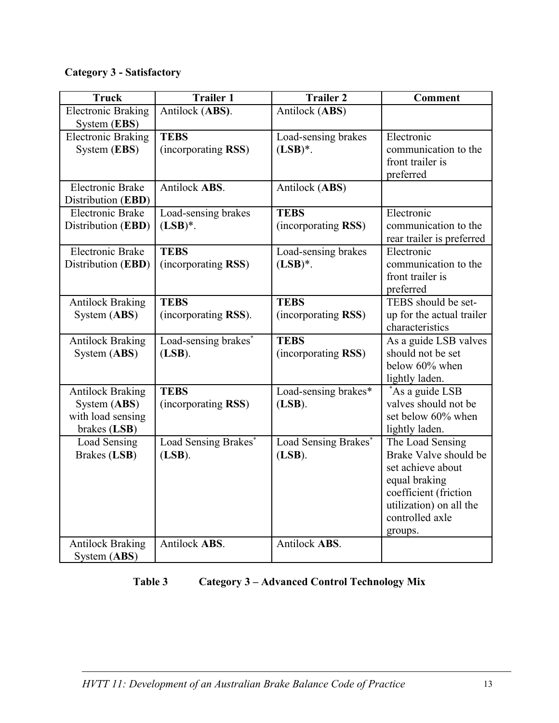# **Category 3 - Satisfactory**

| <b>Electronic Braking</b><br>Antilock (ABS).<br>Antilock (ABS)<br>System (EBS)<br><b>TEBS</b><br><b>Electronic Braking</b><br>Load-sensing brakes<br>Electronic<br>(incorporating RSS)<br>$(LSB)^*$ .<br>System (EBS)<br>communication to the<br>front trailer is<br>preferred<br>Antilock ABS.<br><b>Electronic Brake</b><br>Antilock (ABS)<br>Distribution (EBD)<br><b>Electronic Brake</b><br><b>TEBS</b><br>Electronic<br>Load-sensing brakes<br>$(LSB)^*$ .<br>Distribution (EBD)<br>(incorporating RSS)<br>communication to the<br>rear trailer is preferred<br><b>Electronic Brake</b><br><b>TEBS</b><br>Electronic<br>Load-sensing brakes<br>Distribution (EBD)<br>(incorporating RSS)<br>$(LSB)^*$ .<br>communication to the<br>front trailer is<br>preferred<br><b>Antilock Braking</b><br><b>TEBS</b><br><b>TEBS</b><br>TEBS should be set-<br>(incorporating RSS)<br>(incorporating RSS).<br>System (ABS)<br>up for the actual trailer<br>characteristics<br>As a guide LSB valves<br>Load-sensing brakes*<br><b>TEBS</b><br><b>Antilock Braking</b><br>should not be set<br>(incorporating RSS)<br>System (ABS)<br>$(LSB)$ .<br>below 60% when<br>lightly laden.<br><b>TEBS</b><br>Load-sensing brakes*<br>*As a guide LSB<br><b>Antilock Braking</b><br>valves should not be<br>System (ABS)<br>(incorporating RSS)<br>$(LSB)$ .<br>set below 60% when<br>with load sensing<br>brakes (LSB)<br>lightly laden.<br>Load Sensing<br>Load Sensing Brakes*<br>Load Sensing Brakes*<br>The Load Sensing<br>Brake Valve should be<br>Brakes (LSB)<br>$(LSB)$ .<br>$(LSB)$ .<br>set achieve about<br>equal braking | <b>Truck</b> | <b>Trailer 1</b> | <b>Trailer 2</b> | <b>Comment</b> |
|--------------------------------------------------------------------------------------------------------------------------------------------------------------------------------------------------------------------------------------------------------------------------------------------------------------------------------------------------------------------------------------------------------------------------------------------------------------------------------------------------------------------------------------------------------------------------------------------------------------------------------------------------------------------------------------------------------------------------------------------------------------------------------------------------------------------------------------------------------------------------------------------------------------------------------------------------------------------------------------------------------------------------------------------------------------------------------------------------------------------------------------------------------------------------------------------------------------------------------------------------------------------------------------------------------------------------------------------------------------------------------------------------------------------------------------------------------------------------------------------------------------------------------------------------------------------------------------------------------------------------|--------------|------------------|------------------|----------------|
|                                                                                                                                                                                                                                                                                                                                                                                                                                                                                                                                                                                                                                                                                                                                                                                                                                                                                                                                                                                                                                                                                                                                                                                                                                                                                                                                                                                                                                                                                                                                                                                                                          |              |                  |                  |                |
|                                                                                                                                                                                                                                                                                                                                                                                                                                                                                                                                                                                                                                                                                                                                                                                                                                                                                                                                                                                                                                                                                                                                                                                                                                                                                                                                                                                                                                                                                                                                                                                                                          |              |                  |                  |                |
|                                                                                                                                                                                                                                                                                                                                                                                                                                                                                                                                                                                                                                                                                                                                                                                                                                                                                                                                                                                                                                                                                                                                                                                                                                                                                                                                                                                                                                                                                                                                                                                                                          |              |                  |                  |                |
|                                                                                                                                                                                                                                                                                                                                                                                                                                                                                                                                                                                                                                                                                                                                                                                                                                                                                                                                                                                                                                                                                                                                                                                                                                                                                                                                                                                                                                                                                                                                                                                                                          |              |                  |                  |                |
|                                                                                                                                                                                                                                                                                                                                                                                                                                                                                                                                                                                                                                                                                                                                                                                                                                                                                                                                                                                                                                                                                                                                                                                                                                                                                                                                                                                                                                                                                                                                                                                                                          |              |                  |                  |                |
|                                                                                                                                                                                                                                                                                                                                                                                                                                                                                                                                                                                                                                                                                                                                                                                                                                                                                                                                                                                                                                                                                                                                                                                                                                                                                                                                                                                                                                                                                                                                                                                                                          |              |                  |                  |                |
|                                                                                                                                                                                                                                                                                                                                                                                                                                                                                                                                                                                                                                                                                                                                                                                                                                                                                                                                                                                                                                                                                                                                                                                                                                                                                                                                                                                                                                                                                                                                                                                                                          |              |                  |                  |                |
|                                                                                                                                                                                                                                                                                                                                                                                                                                                                                                                                                                                                                                                                                                                                                                                                                                                                                                                                                                                                                                                                                                                                                                                                                                                                                                                                                                                                                                                                                                                                                                                                                          |              |                  |                  |                |
|                                                                                                                                                                                                                                                                                                                                                                                                                                                                                                                                                                                                                                                                                                                                                                                                                                                                                                                                                                                                                                                                                                                                                                                                                                                                                                                                                                                                                                                                                                                                                                                                                          |              |                  |                  |                |
|                                                                                                                                                                                                                                                                                                                                                                                                                                                                                                                                                                                                                                                                                                                                                                                                                                                                                                                                                                                                                                                                                                                                                                                                                                                                                                                                                                                                                                                                                                                                                                                                                          |              |                  |                  |                |
|                                                                                                                                                                                                                                                                                                                                                                                                                                                                                                                                                                                                                                                                                                                                                                                                                                                                                                                                                                                                                                                                                                                                                                                                                                                                                                                                                                                                                                                                                                                                                                                                                          |              |                  |                  |                |
|                                                                                                                                                                                                                                                                                                                                                                                                                                                                                                                                                                                                                                                                                                                                                                                                                                                                                                                                                                                                                                                                                                                                                                                                                                                                                                                                                                                                                                                                                                                                                                                                                          |              |                  |                  |                |
|                                                                                                                                                                                                                                                                                                                                                                                                                                                                                                                                                                                                                                                                                                                                                                                                                                                                                                                                                                                                                                                                                                                                                                                                                                                                                                                                                                                                                                                                                                                                                                                                                          |              |                  |                  |                |
|                                                                                                                                                                                                                                                                                                                                                                                                                                                                                                                                                                                                                                                                                                                                                                                                                                                                                                                                                                                                                                                                                                                                                                                                                                                                                                                                                                                                                                                                                                                                                                                                                          |              |                  |                  |                |
|                                                                                                                                                                                                                                                                                                                                                                                                                                                                                                                                                                                                                                                                                                                                                                                                                                                                                                                                                                                                                                                                                                                                                                                                                                                                                                                                                                                                                                                                                                                                                                                                                          |              |                  |                  |                |
|                                                                                                                                                                                                                                                                                                                                                                                                                                                                                                                                                                                                                                                                                                                                                                                                                                                                                                                                                                                                                                                                                                                                                                                                                                                                                                                                                                                                                                                                                                                                                                                                                          |              |                  |                  |                |
|                                                                                                                                                                                                                                                                                                                                                                                                                                                                                                                                                                                                                                                                                                                                                                                                                                                                                                                                                                                                                                                                                                                                                                                                                                                                                                                                                                                                                                                                                                                                                                                                                          |              |                  |                  |                |
|                                                                                                                                                                                                                                                                                                                                                                                                                                                                                                                                                                                                                                                                                                                                                                                                                                                                                                                                                                                                                                                                                                                                                                                                                                                                                                                                                                                                                                                                                                                                                                                                                          |              |                  |                  |                |
|                                                                                                                                                                                                                                                                                                                                                                                                                                                                                                                                                                                                                                                                                                                                                                                                                                                                                                                                                                                                                                                                                                                                                                                                                                                                                                                                                                                                                                                                                                                                                                                                                          |              |                  |                  |                |
|                                                                                                                                                                                                                                                                                                                                                                                                                                                                                                                                                                                                                                                                                                                                                                                                                                                                                                                                                                                                                                                                                                                                                                                                                                                                                                                                                                                                                                                                                                                                                                                                                          |              |                  |                  |                |
|                                                                                                                                                                                                                                                                                                                                                                                                                                                                                                                                                                                                                                                                                                                                                                                                                                                                                                                                                                                                                                                                                                                                                                                                                                                                                                                                                                                                                                                                                                                                                                                                                          |              |                  |                  |                |
|                                                                                                                                                                                                                                                                                                                                                                                                                                                                                                                                                                                                                                                                                                                                                                                                                                                                                                                                                                                                                                                                                                                                                                                                                                                                                                                                                                                                                                                                                                                                                                                                                          |              |                  |                  |                |
|                                                                                                                                                                                                                                                                                                                                                                                                                                                                                                                                                                                                                                                                                                                                                                                                                                                                                                                                                                                                                                                                                                                                                                                                                                                                                                                                                                                                                                                                                                                                                                                                                          |              |                  |                  |                |
|                                                                                                                                                                                                                                                                                                                                                                                                                                                                                                                                                                                                                                                                                                                                                                                                                                                                                                                                                                                                                                                                                                                                                                                                                                                                                                                                                                                                                                                                                                                                                                                                                          |              |                  |                  |                |
|                                                                                                                                                                                                                                                                                                                                                                                                                                                                                                                                                                                                                                                                                                                                                                                                                                                                                                                                                                                                                                                                                                                                                                                                                                                                                                                                                                                                                                                                                                                                                                                                                          |              |                  |                  |                |
|                                                                                                                                                                                                                                                                                                                                                                                                                                                                                                                                                                                                                                                                                                                                                                                                                                                                                                                                                                                                                                                                                                                                                                                                                                                                                                                                                                                                                                                                                                                                                                                                                          |              |                  |                  |                |
|                                                                                                                                                                                                                                                                                                                                                                                                                                                                                                                                                                                                                                                                                                                                                                                                                                                                                                                                                                                                                                                                                                                                                                                                                                                                                                                                                                                                                                                                                                                                                                                                                          |              |                  |                  |                |
|                                                                                                                                                                                                                                                                                                                                                                                                                                                                                                                                                                                                                                                                                                                                                                                                                                                                                                                                                                                                                                                                                                                                                                                                                                                                                                                                                                                                                                                                                                                                                                                                                          |              |                  |                  |                |
|                                                                                                                                                                                                                                                                                                                                                                                                                                                                                                                                                                                                                                                                                                                                                                                                                                                                                                                                                                                                                                                                                                                                                                                                                                                                                                                                                                                                                                                                                                                                                                                                                          |              |                  |                  |                |
|                                                                                                                                                                                                                                                                                                                                                                                                                                                                                                                                                                                                                                                                                                                                                                                                                                                                                                                                                                                                                                                                                                                                                                                                                                                                                                                                                                                                                                                                                                                                                                                                                          |              |                  |                  |                |
| coefficient (friction                                                                                                                                                                                                                                                                                                                                                                                                                                                                                                                                                                                                                                                                                                                                                                                                                                                                                                                                                                                                                                                                                                                                                                                                                                                                                                                                                                                                                                                                                                                                                                                                    |              |                  |                  |                |
| utilization) on all the<br>controlled axle                                                                                                                                                                                                                                                                                                                                                                                                                                                                                                                                                                                                                                                                                                                                                                                                                                                                                                                                                                                                                                                                                                                                                                                                                                                                                                                                                                                                                                                                                                                                                                               |              |                  |                  |                |
|                                                                                                                                                                                                                                                                                                                                                                                                                                                                                                                                                                                                                                                                                                                                                                                                                                                                                                                                                                                                                                                                                                                                                                                                                                                                                                                                                                                                                                                                                                                                                                                                                          |              |                  |                  |                |
| groups.<br>Antilock ABS.<br>Antilock ABS.<br><b>Antilock Braking</b>                                                                                                                                                                                                                                                                                                                                                                                                                                                                                                                                                                                                                                                                                                                                                                                                                                                                                                                                                                                                                                                                                                                                                                                                                                                                                                                                                                                                                                                                                                                                                     |              |                  |                  |                |
| System (ABS)                                                                                                                                                                                                                                                                                                                                                                                                                                                                                                                                                                                                                                                                                                                                                                                                                                                                                                                                                                                                                                                                                                                                                                                                                                                                                                                                                                                                                                                                                                                                                                                                             |              |                  |                  |                |

## **Table 3 Category 3 – Advanced Control Technology Mix**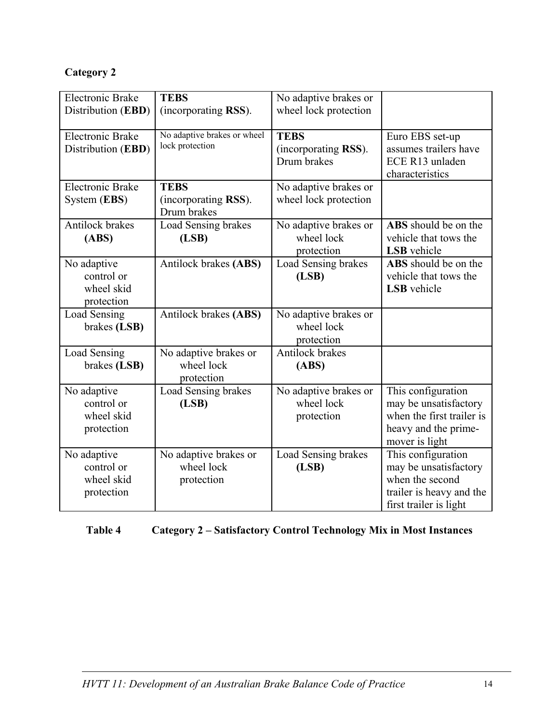# **Category 2**

| <b>Electronic Brake</b><br>Distribution (EBD)         | <b>TEBS</b><br>(incorporating RSS).                | No adaptive brakes or<br>wheel lock protection     |                                                                                                                      |
|-------------------------------------------------------|----------------------------------------------------|----------------------------------------------------|----------------------------------------------------------------------------------------------------------------------|
| <b>Electronic Brake</b><br>Distribution (EBD)         | No adaptive brakes or wheel<br>lock protection     | <b>TEBS</b><br>(incorporating RSS).<br>Drum brakes | Euro EBS set-up<br>assumes trailers have<br>ECE R13 unladen<br>characteristics                                       |
| <b>Electronic Brake</b><br>System (EBS)               | <b>TEBS</b><br>(incorporating RSS).<br>Drum brakes | No adaptive brakes or<br>wheel lock protection     |                                                                                                                      |
| Antilock brakes<br>(ABS)                              | Load Sensing brakes<br>(LSB)                       | No adaptive brakes or<br>wheel lock<br>protection  | ABS should be on the<br>vehicle that tows the<br>LSB vehicle                                                         |
| No adaptive<br>control or<br>wheel skid<br>protection | Antilock brakes (ABS)                              | Load Sensing brakes<br>(LSB)                       | ABS should be on the<br>vehicle that tows the<br><b>LSB</b> vehicle                                                  |
| Load Sensing<br>brakes (LSB)                          | Antilock brakes (ABS)                              | No adaptive brakes or<br>wheel lock<br>protection  |                                                                                                                      |
| Load Sensing<br>brakes (LSB)                          | No adaptive brakes or<br>wheel lock<br>protection  | Antilock brakes<br>(ABS)                           |                                                                                                                      |
| No adaptive<br>control or<br>wheel skid<br>protection | Load Sensing brakes<br>(LSB)                       | No adaptive brakes or<br>wheel lock<br>protection  | This configuration<br>may be unsatisfactory<br>when the first trailer is<br>heavy and the prime-<br>mover is light   |
| No adaptive<br>control or<br>wheel skid<br>protection | No adaptive brakes or<br>wheel lock<br>protection  | Load Sensing brakes<br>(LSB)                       | This configuration<br>may be unsatisfactory<br>when the second<br>trailer is heavy and the<br>first trailer is light |

# **Table 4 Category 2 – Satisfactory Control Technology Mix in Most Instances**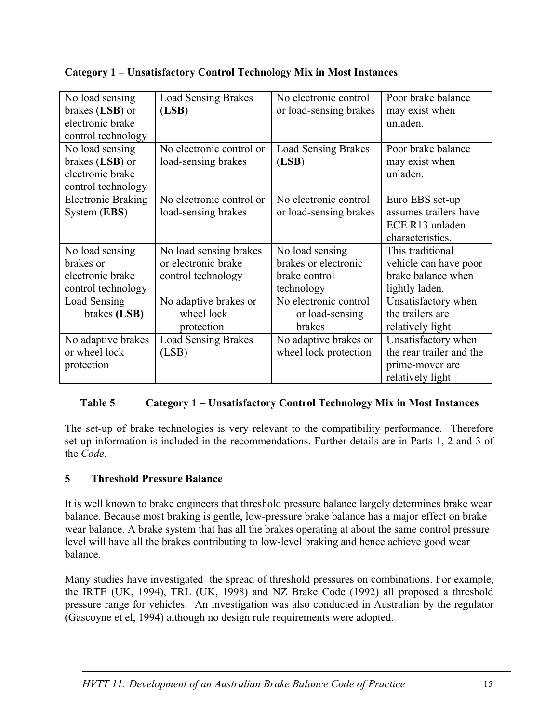| No load sensing<br>brakes (LSB) or | <b>Load Sensing Brakes</b><br>(LSB) | No electronic control<br>or load-sensing brakes | Poor brake balance<br>may exist when |
|------------------------------------|-------------------------------------|-------------------------------------------------|--------------------------------------|
| electronic brake                   |                                     |                                                 | unladen.                             |
| control technology                 |                                     |                                                 |                                      |
| No load sensing                    | No electronic control or            | <b>Load Sensing Brakes</b>                      | Poor brake balance                   |
| brakes (LSB) or                    | load-sensing brakes                 | (LSB)                                           | may exist when                       |
| electronic brake                   |                                     |                                                 | unladen.                             |
| control technology                 |                                     |                                                 |                                      |
| <b>Electronic Braking</b>          | No electronic control or            | No electronic control                           | Euro EBS set-up                      |
| System (EBS)                       | load-sensing brakes                 | or load-sensing brakes                          | assumes trailers have                |
|                                    |                                     |                                                 | ECE R13 unladen                      |
|                                    |                                     |                                                 | characteristics.                     |
| No load sensing                    | No load sensing brakes              | No load sensing                                 | This traditional                     |
| brakes or                          | or electronic brake                 | brakes or electronic                            | vehicle can have poor                |
| electronic brake                   | control technology                  | brake control                                   | brake balance when                   |
| control technology                 |                                     | technology                                      | lightly laden.                       |
| Load Sensing                       | No adaptive brakes or               | No electronic control                           | Unsatisfactory when                  |
| brakes (LSB)                       | wheel lock                          | or load-sensing                                 | the trailers are                     |
|                                    | protection                          | brakes                                          | relatively light                     |
| No adaptive brakes                 | <b>Load Sensing Brakes</b>          | No adaptive brakes or                           | Unsatisfactory when                  |
| or wheel lock                      | (LSB)                               | wheel lock protection                           | the rear trailer and the             |
| protection                         |                                     |                                                 | prime-mover are                      |
|                                    |                                     |                                                 | relatively light                     |

## **Category 1 – Unsatisfactory Control Technology Mix in Most Instances**

## **Table 5 Category 1 – Unsatisfactory Control Technology Mix in Most Instances**

The set-up of brake technologies is very relevant to the compatibility performance. Therefore set-up information is included in the recommendations. Further details are in Parts 1, 2 and 3 of the *Code*.

#### **5 Threshold Pressure Balance**

It is well known to brake engineers that threshold pressure balance largely determines brake wear balance. Because most braking is gentle, low-pressure brake balance has a major effect on brake wear balance. A brake system that has all the brakes operating at about the same control pressure level will have all the brakes contributing to low-level braking and hence achieve good wear balance.

Many studies have investigated the spread of threshold pressures on combinations. For example, the IRTE (UK, 1994), TRL (UK, 1998) and NZ Brake Code (1992) all proposed a threshold pressure range for vehicles. An investigation was also conducted in Australian by the regulator (Gascoyne et el, 1994) although no design rule requirements were adopted.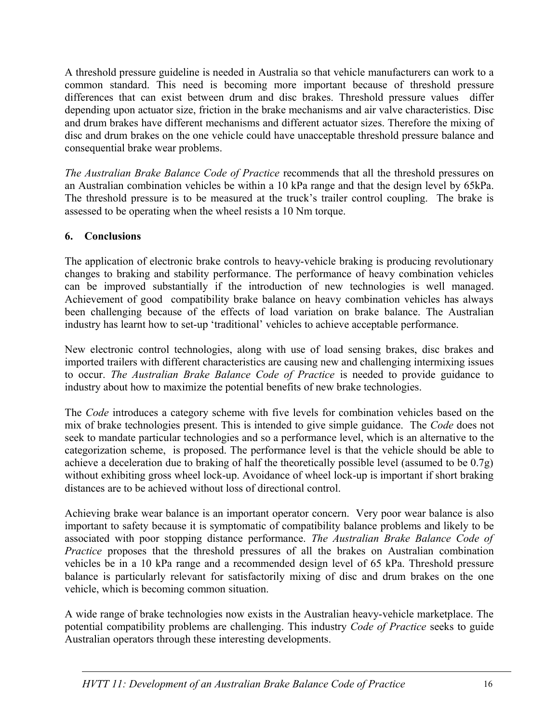A threshold pressure guideline is needed in Australia so that vehicle manufacturers can work to a common standard. This need is becoming more important because of threshold pressure differences that can exist between drum and disc brakes. Threshold pressure values differ depending upon actuator size, friction in the brake mechanisms and air valve characteristics. Disc and drum brakes have different mechanisms and different actuator sizes. Therefore the mixing of disc and drum brakes on the one vehicle could have unacceptable threshold pressure balance and consequential brake wear problems.

*The Australian Brake Balance Code of Practice* recommends that all the threshold pressures on an Australian combination vehicles be within a 10 kPa range and that the design level by 65kPa. The threshold pressure is to be measured at the truck's trailer control coupling. The brake is assessed to be operating when the wheel resists a 10 Nm torque.

## **6. Conclusions**

The application of electronic brake controls to heavy-vehicle braking is producing revolutionary changes to braking and stability performance. The performance of heavy combination vehicles can be improved substantially if the introduction of new technologies is well managed. Achievement of good compatibility brake balance on heavy combination vehicles has always been challenging because of the effects of load variation on brake balance. The Australian industry has learnt how to set-up 'traditional' vehicles to achieve acceptable performance.

New electronic control technologies, along with use of load sensing brakes, disc brakes and imported trailers with different characteristics are causing new and challenging intermixing issues to occur. *The Australian Brake Balance Code of Practice* is needed to provide guidance to industry about how to maximize the potential benefits of new brake technologies.

The *Code* introduces a category scheme with five levels for combination vehicles based on the mix of brake technologies present. This is intended to give simple guidance. The *Code* does not seek to mandate particular technologies and so a performance level, which is an alternative to the categorization scheme, is proposed. The performance level is that the vehicle should be able to achieve a deceleration due to braking of half the theoretically possible level (assumed to be 0.7g) without exhibiting gross wheel lock-up. Avoidance of wheel lock-up is important if short braking distances are to be achieved without loss of directional control.

Achieving brake wear balance is an important operator concern. Very poor wear balance is also important to safety because it is symptomatic of compatibility balance problems and likely to be associated with poor stopping distance performance. *The Australian Brake Balance Code of Practice* proposes that the threshold pressures of all the brakes on Australian combination vehicles be in a 10 kPa range and a recommended design level of 65 kPa. Threshold pressure balance is particularly relevant for satisfactorily mixing of disc and drum brakes on the one vehicle, which is becoming common situation.

A wide range of brake technologies now exists in the Australian heavy-vehicle marketplace. The potential compatibility problems are challenging. This industry *Code of Practice* seeks to guide Australian operators through these interesting developments.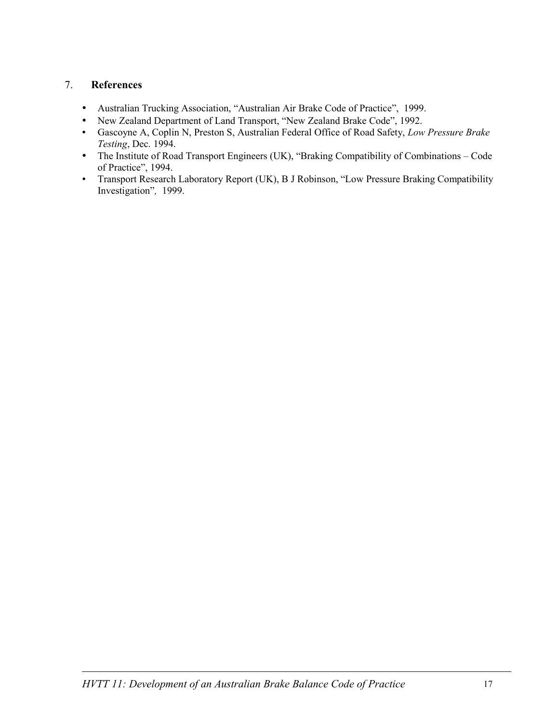### 7. **References**

- Australian Trucking Association, "Australian Air Brake Code of Practice", 1999.
- New Zealand Department of Land Transport, "New Zealand Brake Code", 1992.
- Gascoyne A, Coplin N, Preston S, Australian Federal Office of Road Safety, *Low Pressure Brake Testing*, Dec. 1994.
- The Institute of Road Transport Engineers (UK), "Braking Compatibility of Combinations Code of Practice", 1994.
- Transport Research Laboratory Report (UK), B J Robinson, "Low Pressure Braking Compatibility Investigation"*,* 1999.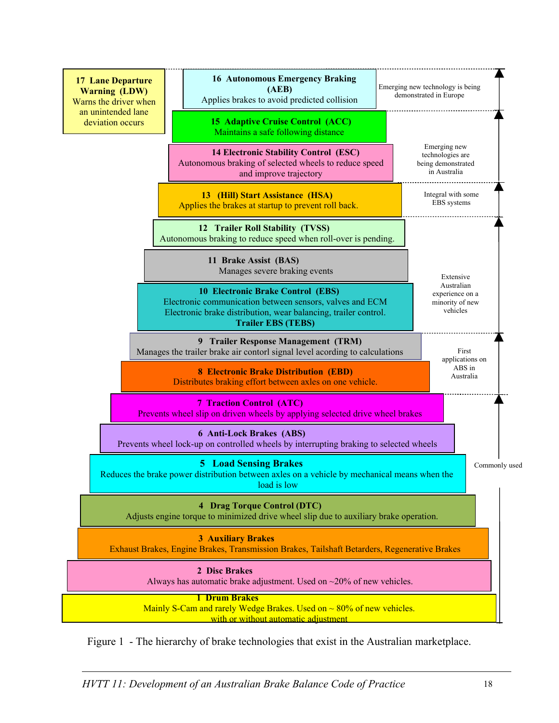

Figure 1 - The hierarchy of brake technologies that exist in the Australian marketplace.